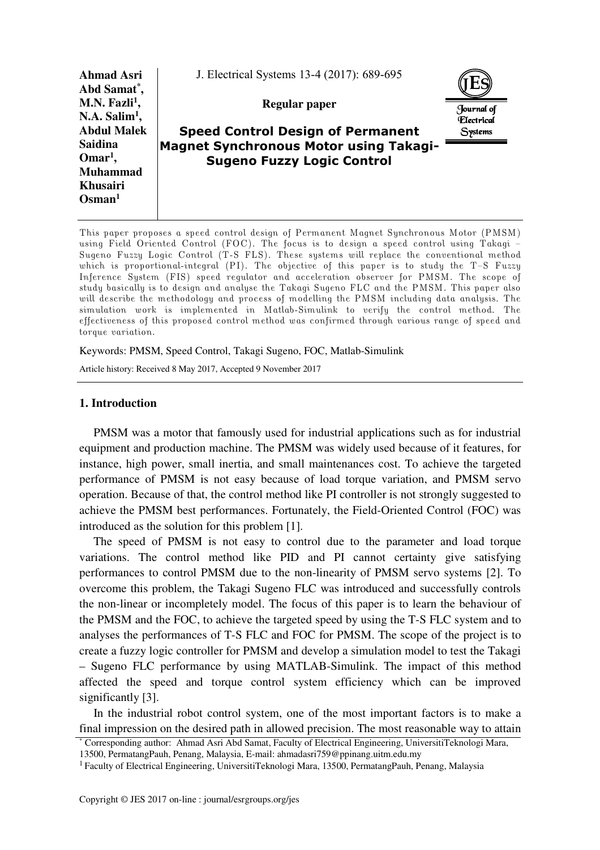

This paper proposes a speed control design of Permanent Magnet Synchronous Motor (PMSM) using Field Oriented Control (FOC). The focus is to design a speed control using Takagi — Sugeno Fuzzy Logic Control (T-S FLS). These systems will replace the conventional method which is proportional-integral (PI). The objective of this paper is to study the T-S Fuzzy Inference System (FIS) speed regulator and acceleration observer for PMSM. The scope of study basically is to design and analyse the Takagi Sugeno FLC and the PMSM. This paper also will describe the methodology and process of modelling the PMSM including data analysis. The simulation work is implemented in Matlab-Simulink to verify the control method. The effectiveness of this proposed control method was confirmed through various range of speed and torque variation.

#### Keywords: PMSM, Speed Control, Takagi Sugeno, FOC, Matlab-Simulink

Article history: Received 8 May 2017, Accepted 9 November 2017

### **1. Introduction**

PMSM was a motor that famously used for industrial applications such as for industrial equipment and production machine. The PMSM was widely used because of it features, for instance, high power, small inertia, and small maintenances cost. To achieve the targeted performance of PMSM is not easy because of load torque variation, and PMSM servo operation. Because of that, the control method like PI controller is not strongly suggested to achieve the PMSM best performances. Fortunately, the Field-Oriented Control (FOC) was introduced as the solution for this problem [1].

The speed of PMSM is not easy to control due to the parameter and load torque variations. The control method like PID and PI cannot certainty give satisfying performances to control PMSM due to the non-linearity of PMSM servo systems [2]. To overcome this problem, the Takagi Sugeno FLC was introduced and successfully controls the non-linear or incompletely model. The focus of this paper is to learn the behaviour of the PMSM and the FOC, to achieve the targeted speed by using the T-S FLC system and to analyses the performances of T-S FLC and FOC for PMSM. The scope of the project is to create a fuzzy logic controller for PMSM and develop a simulation model to test the Takagi – Sugeno FLC performance by using MATLAB-Simulink. The impact of this method affected the speed and torque control system efficiency which can be improved significantly [3].

In the industrial robot control system, one of the most important factors is to make a final impression on the desired path in allowed precision. The most reasonable way to attain

<sup>\*</sup> Corresponding author: Ahmad Asri Abd Samat, Faculty of Electrical Engineering, UniversitiTeknologi Mara, 13500, PermatangPauh, Penang, Malaysia, E-mail: ahmadasri759@ppinang.uitm.edu.my

<sup>&</sup>lt;sup>1</sup> Faculty of Electrical Engineering, UniversitiTeknologi Mara, 13500, PermatangPauh, Penang, Malaysia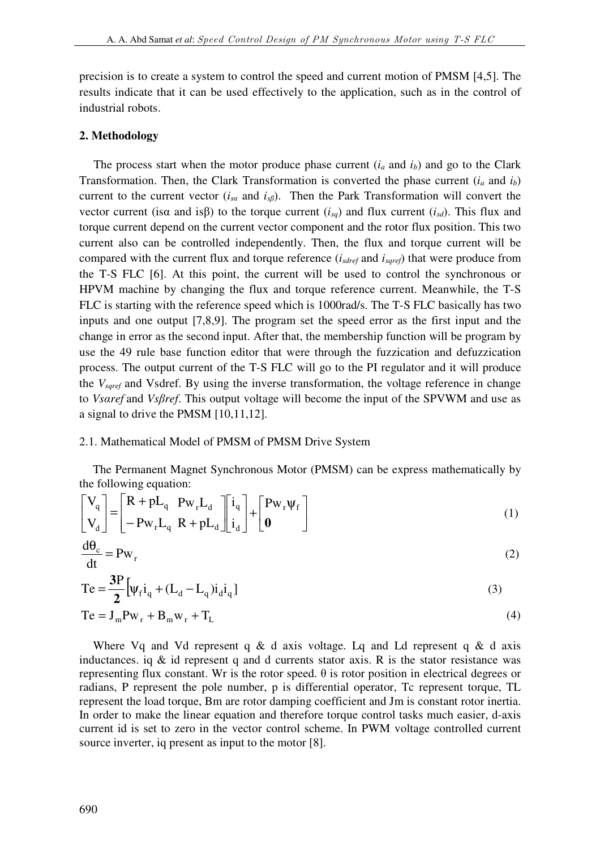precision is to create a system to control the speed and current motion of PMSM [4,5]. The results indicate that it can be used effectively to the application, such as in the control of industrial robots.

### **2. Methodology**

The process start when the motor produce phase current  $(i_a$  and  $i_b$ ) and go to the Clark Transformation. Then, the Clark Transformation is converted the phase current (*ia* and *ib*) current to the current vector ( $i_{sa}$  and  $i_{s\beta}$ ). Then the Park Transformation will convert the vector current (isα and isβ) to the torque current ( $i_{sq}$ ) and flux current ( $i_{sd}$ ). This flux and torque current depend on the current vector component and the rotor flux position. This two current also can be controlled independently. Then, the flux and torque current will be compared with the current flux and torque reference (*isdref* and *isqref*) that were produce from the T-S FLC [6]. At this point, the current will be used to control the synchronous or HPVM machine by changing the flux and torque reference current. Meanwhile, the T-S FLC is starting with the reference speed which is 1000rad/s. The T-S FLC basically has two inputs and one output [7,8,9]. The program set the speed error as the first input and the change in error as the second input. After that, the membership function will be program by use the 49 rule base function editor that were through the fuzzication and defuzzication process. The output current of the T-S FLC will go to the PI regulator and it will produce the *Vsqref* and Vsdref. By using the inverse transformation, the voltage reference in change to *Vsαref* and *Vsβref*. This output voltage will become the input of the SPVWM and use as a signal to drive the PMSM [10,11,12].

#### 2.1. Mathematical Model of PMSM of PMSM Drive System

The Permanent Magnet Synchronous Motor (PMSM) can be express mathematically by the following equation:

$$
\begin{bmatrix} \mathbf{V}_q \\ \mathbf{V}_d \end{bmatrix} = \begin{bmatrix} \mathbf{R} + \mathbf{p} \mathbf{L}_q & \mathbf{P} \mathbf{w}_r \mathbf{L}_d \\ -\mathbf{P} \mathbf{w}_r \mathbf{L}_q & \mathbf{R} + \mathbf{p} \mathbf{L}_d \end{bmatrix} \begin{bmatrix} \mathbf{i}_q \\ \mathbf{i}_d \end{bmatrix} + \begin{bmatrix} \mathbf{P} \mathbf{w}_r \mathbf{\Psi}_f \\ \mathbf{0} \end{bmatrix}
$$
 (1)

$$
\frac{d\theta_c}{dt} = P w_r
$$
 (2)

$$
Te = \frac{3P}{2} [\psi_f i_q + (L_d - L_q) i_d i_q]
$$
 (3)

$$
Te = JmPwr + Bmwr + TL
$$
 (4)

Where Vq and Vd represent q & d axis voltage. Lq and Ld represent q & d axis inductances. iq  $\&$  id represent q and d currents stator axis. R is the stator resistance was representing flux constant. Wr is the rotor speed.  $θ$  is rotor position in electrical degrees or radians, P represent the pole number, p is differential operator, Tc represent torque, TL represent the load torque, Bm are rotor damping coefficient and Jm is constant rotor inertia. In order to make the linear equation and therefore torque control tasks much easier, d-axis current id is set to zero in the vector control scheme. In PWM voltage controlled current source inverter, iq present as input to the motor [8].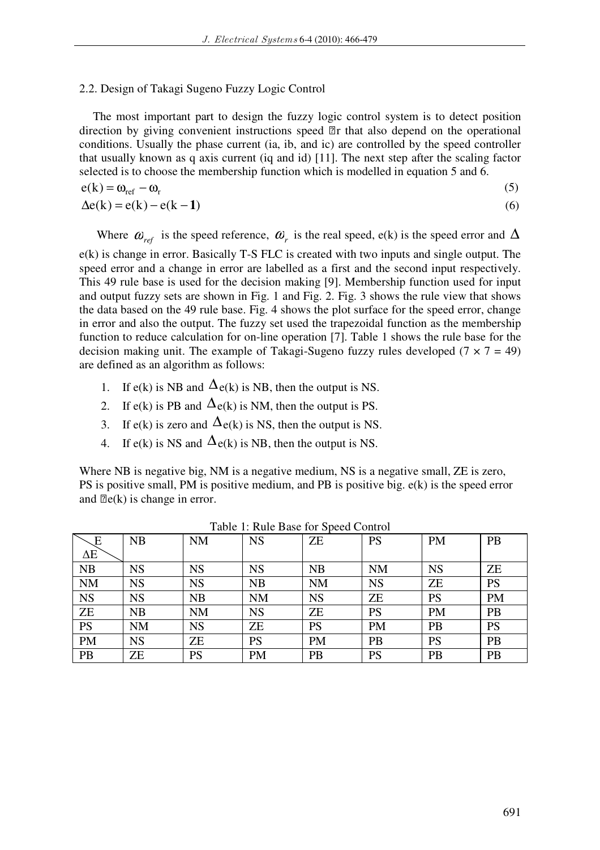# 2.2. Design of Takagi Sugeno Fuzzy Logic Control

The most important part to design the fuzzy logic control system is to detect position direction by giving convenient instructions speed r that also depend on the operational conditions. Usually the phase current (ia, ib, and ic) are controlled by the speed controller that usually known as q axis current (iq and id) [11]. The next step after the scaling factor selected is to choose the membership function which is modelled in equation 5 and 6.

$$
e(k) = \omega_{ref} - \omega_r \tag{5}
$$

$$
\Delta e(k) = e(k) - e(k-1) \tag{6}
$$

Where  $\omega_{ref}$  is the speed reference,  $\omega_r$  is the real speed, e(k) is the speed error and  $\Delta$ 

e(k) is change in error. Basically T-S FLC is created with two inputs and single output. The speed error and a change in error are labelled as a first and the second input respectively. This 49 rule base is used for the decision making [9]. Membership function used for input and output fuzzy sets are shown in Fig. 1 and Fig. 2. Fig. 3 shows the rule view that shows the data based on the 49 rule base. Fig. 4 shows the plot surface for the speed error, change in error and also the output. The fuzzy set used the trapezoidal function as the membership function to reduce calculation for on-line operation [7]. Table 1 shows the rule base for the decision making unit. The example of Takagi-Sugeno fuzzy rules developed  $(7 \times 7 = 49)$ are defined as an algorithm as follows:

- 1. If e(k) is NB and  $\Delta_{e(k)}$  is NB, then the output is NS.
- 2. If  $e(k)$  is PB and  $\Delta e(k)$  is NM, then the output is PS.
- 3. If  $e(k)$  is zero and  $\Delta e(k)$  is NS, then the output is NS.
- 4. If  $e(k)$  is NS and  $\Delta e(k)$  is NB, then the output is NS.

Where NB is negative big, NM is a negative medium, NS is a negative small, ZE is zero, PS is positive small, PM is positive medium, and PB is positive big.  $e(k)$  is the speed error and e(k) is change in error.

| $\sqrt{\mathrm{E}}$ | <b>NB</b> | <b>NM</b> | <b>NS</b> | ZΕ        | <b>PS</b> | <b>PM</b> | PB        |
|---------------------|-----------|-----------|-----------|-----------|-----------|-----------|-----------|
| $\Delta E$          |           |           |           |           |           |           |           |
| NB                  | NS        | <b>NS</b> | <b>NS</b> | <b>NB</b> | <b>NM</b> | <b>NS</b> | ZΕ        |
| <b>NM</b>           | <b>NS</b> | <b>NS</b> | <b>NB</b> | <b>NM</b> | <b>NS</b> | <b>ZE</b> | <b>PS</b> |
| <b>NS</b>           | <b>NS</b> | <b>NB</b> | <b>NM</b> | <b>NS</b> | ZE        | PS        | <b>PM</b> |
| <b>ZE</b>           | NB        | <b>NM</b> | <b>NS</b> | <b>ZE</b> | <b>PS</b> | <b>PM</b> | <b>PB</b> |
| <b>PS</b>           | <b>NM</b> | <b>NS</b> | <b>ZE</b> | <b>PS</b> | <b>PM</b> | PB        | <b>PS</b> |
| <b>PM</b>           | <b>NS</b> | <b>ZE</b> | <b>PS</b> | PM        | PB        | <b>PS</b> | PB        |
| PB                  | ΖE        | <b>PS</b> | <b>PM</b> | PB        | <b>PS</b> | PB        | PB        |

Table 1: Rule Base for Speed Control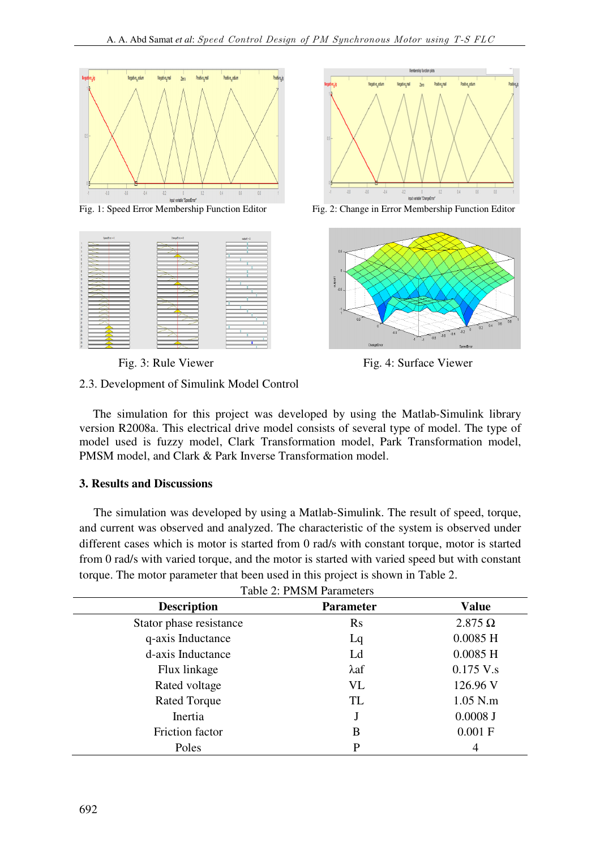





Fig. 1: Speed Error Membership Function Editor Fig. 2: Change in Error Membership Function Editor



Fig. 3: Rule Viewer Fig. 4: Surface Viewer

# 2.3. Development of Simulink Model Control

The simulation for this project was developed by using the Matlab-Simulink library version R2008a. This electrical drive model consists of several type of model. The type of model used is fuzzy model, Clark Transformation model, Park Transformation model, PMSM model, and Clark & Park Inverse Transformation model.

# **3. Results and Discussions**

The simulation was developed by using a Matlab-Simulink. The result of speed, torque, and current was observed and analyzed. The characteristic of the system is observed under different cases which is motor is started from 0 rad/s with constant torque, motor is started from 0 rad/s with varied torque, and the motor is started with varied speed but with constant torque. The motor parameter that been used in this project is shown in Table 2.

| <b>Table 2: PMSM Parameters</b> |                  |                |  |  |  |  |
|---------------------------------|------------------|----------------|--|--|--|--|
| <b>Description</b>              | <b>Parameter</b> | <b>Value</b>   |  |  |  |  |
| Stator phase resistance         | $\rm Rs$         | $2.875 \Omega$ |  |  |  |  |
| q-axis Inductance               | Lq               | $0.0085$ H     |  |  |  |  |
| d-axis Inductance               | Ld               | $0.0085$ H     |  |  |  |  |
| Flux linkage                    | $\lambda$ af     | $0.175$ V.s    |  |  |  |  |
| Rated voltage                   | <b>VL</b>        | 126.96 V       |  |  |  |  |
| <b>Rated Torque</b>             | TL               | $1.05$ N.m     |  |  |  |  |
| Inertia                         | J                | $0.0008$ J     |  |  |  |  |
| Friction factor                 | B                | 0.001 F        |  |  |  |  |
| Poles                           | P                | 4              |  |  |  |  |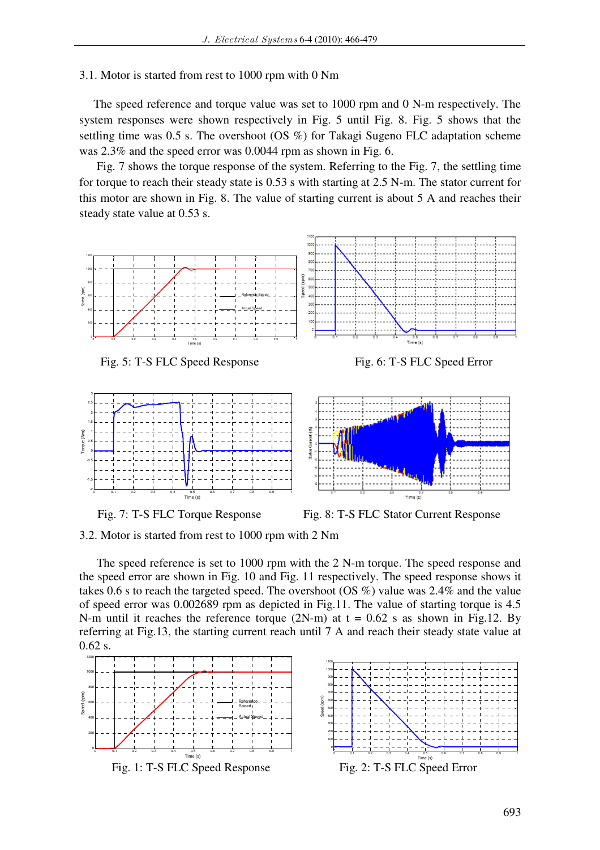### 3.1. Motor is started from rest to 1000 rpm with 0 Nm

The speed reference and torque value was set to 1000 rpm and 0 N-m respectively. The system responses were shown respectively in Fig. 5 until Fig. 8. Fig. 5 shows that the settling time was 0.5 s. The overshoot (OS %) for Takagi Sugeno FLC adaptation scheme was 2.3% and the speed error was 0.0044 rpm as shown in Fig. 6.

 Fig. 7 shows the torque response of the system. Referring to the Fig. 7, the settling time for torque to reach their steady state is 0.53 s with starting at 2.5 N-m. The stator current for this motor are shown in Fig. 8. The value of starting current is about 5 A and reaches their steady state value at 0.53 s.











Fig. 7: T-S FLC Torque Response Fig. 8: T-S FLC Stator Current Response

3.2. Motor is started from rest to 1000 rpm with 2 Nm

The speed reference is set to 1000 rpm with the 2 N-m torque. The speed response and the speed error are shown in Fig. 10 and Fig. 11 respectively. The speed response shows it takes 0.6 s to reach the targeted speed. The overshoot (OS %) value was 2.4% and the value of speed error was 0.002689 rpm as depicted in Fig.11. The value of starting torque is 4.5 N-m until it reaches the reference torque  $(2N-m)$  at  $t = 0.62$  s as shown in Fig.12. By referring at Fig.13, the starting current reach until 7 A and reach their steady state value at 0.62 s.



Fig. 1: T-S FLC Speed Response Fig. 2: T-S FLC Speed Error

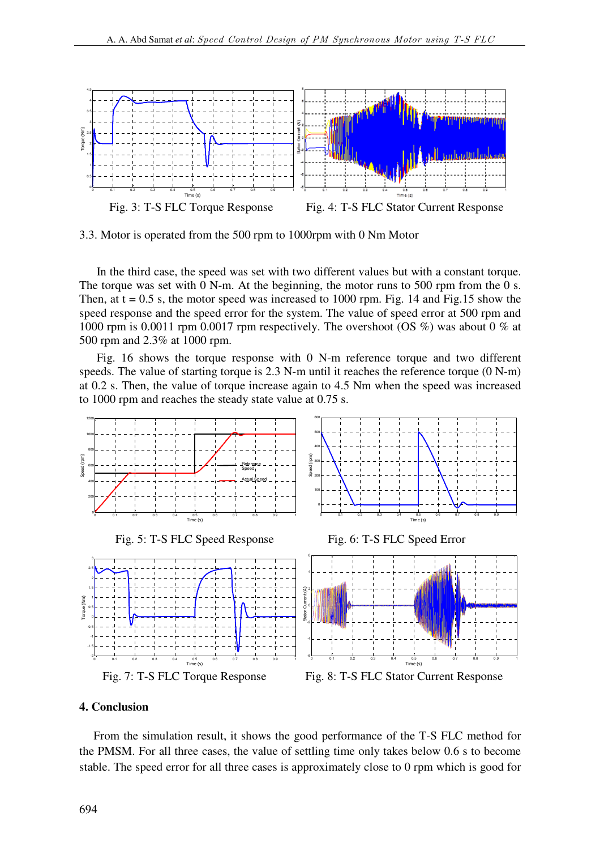

3.3. Motor is operated from the 500 rpm to 1000rpm with 0 Nm Motor

In the third case, the speed was set with two different values but with a constant torque. The torque was set with 0 N-m. At the beginning, the motor runs to 500 rpm from the 0 s. Then, at  $t = 0.5$  s, the motor speed was increased to 1000 rpm. Fig. 14 and Fig.15 show the speed response and the speed error for the system. The value of speed error at 500 rpm and 1000 rpm is 0.0011 rpm 0.0017 rpm respectively. The overshoot (OS %) was about 0 % at 500 rpm and 2.3% at 1000 rpm.

Fig. 16 shows the torque response with 0 N-m reference torque and two different speeds. The value of starting torque is 2.3 N-m until it reaches the reference torque (0 N-m) at 0.2 s. Then, the value of torque increase again to 4.5 Nm when the speed was increased to 1000 rpm and reaches the steady state value at 0.75 s.



## **4. Conclusion**

From the simulation result, it shows the good performance of the T-S FLC method for the PMSM. For all three cases, the value of settling time only takes below 0.6 s to become stable. The speed error for all three cases is approximately close to 0 rpm which is good for